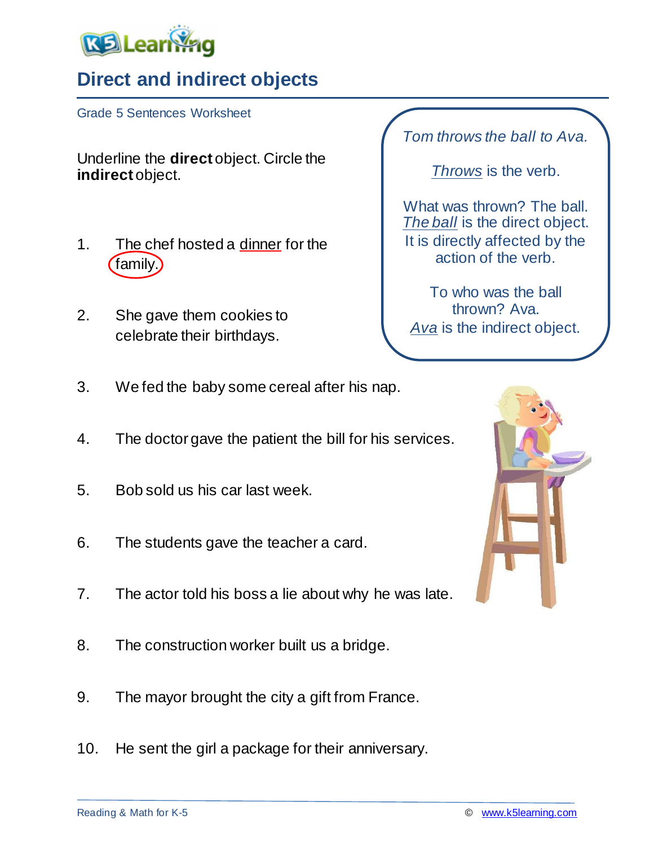

## **Direct and indirect objects**

Grade 5 Sentences Worksheet

Underline the **direct** object. Circle the **indirect** object.

- 1. The chef hosted a dinner for the family.
- 2. She gave them cookies to celebrate their birthdays.

*Tom throws the ball to Ava.*

*Throws* is the verb.

What was thrown? The ball. *The ball* is the direct object. It is directly affected by the action of the verb.

To who was the ball thrown? Ava. *Ava* is the indirect object.

- 3. We fed the baby some cereal after his nap.
- 4. The doctor gave the patient the bill for his services.
- 5. Bob sold us his car last week.
- 6. The students gave the teacher a card.
- 7. The actor told his boss a lie about why he was late.
- 8. The construction worker built us a bridge.
- 9. The mayor brought the city a gift from France.
- 10. He sent the girl a package for their anniversary.